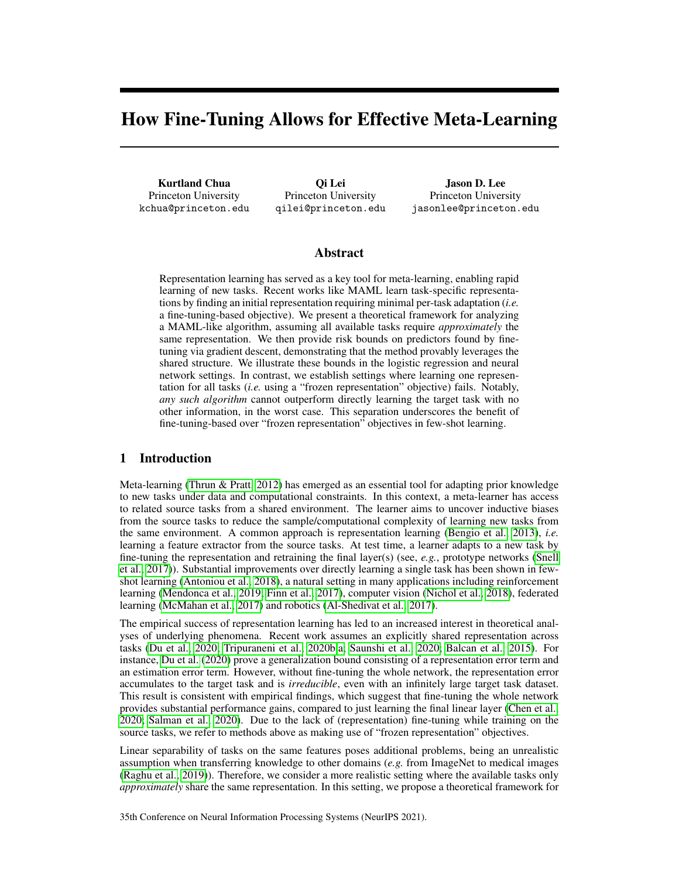# How Fine-Tuning Allows for Effective Meta-Learning

Kurtland Chua Princeton University kchua@princeton.edu

Qi Lei Princeton University qilei@princeton.edu

Jason D. Lee Princeton University jasonlee@princeton.edu

# Abstract

Representation learning has served as a key tool for meta-learning, enabling rapid learning of new tasks. Recent works like MAML learn task-specific representations by finding an initial representation requiring minimal per-task adaptation (*i.e.* a fine-tuning-based objective). We present a theoretical framework for analyzing a MAML-like algorithm, assuming all available tasks require *approximately* the same representation. We then provide risk bounds on predictors found by finetuning via gradient descent, demonstrating that the method provably leverages the shared structure. We illustrate these bounds in the logistic regression and neural network settings. In contrast, we establish settings where learning one representation for all tasks (*i.e.* using a "frozen representation" objective) fails. Notably, *any such algorithm* cannot outperform directly learning the target task with no other information, in the worst case. This separation underscores the benefit of fine-tuning-based over "frozen representation" objectives in few-shot learning.

## 1 Introduction

Meta-learning [\(Thrun & Pratt, 2012\)](#page-12-0) has emerged as an essential tool for adapting prior knowledge to new tasks under data and computational constraints. In this context, a meta-learner has access to related source tasks from a shared environment. The learner aims to uncover inductive biases from the source tasks to reduce the sample/computational complexity of learning new tasks from the same environment. A common approach is representation learning [\(Bengio et al., 2013\)](#page-10-0), *i.e.* learning a feature extractor from the source tasks. At test time, a learner adapts to a new task by fine-tuning the representation and retraining the final layer(s) (see, *e.g.*, prototype networks [\(Snell](#page-12-1) [et al., 2017\)](#page-12-1)). Substantial improvements over directly learning a single task has been shown in fewshot learning [\(Antoniou et al., 2018\)](#page-10-1), a natural setting in many applications including reinforcement learning [\(Mendonca et al., 2019;](#page-11-0) [Finn et al., 2017\)](#page-11-1), computer vision [\(Nichol et al., 2018\)](#page-11-2), federated learning [\(McMahan et al., 2017\)](#page-11-3) and robotics [\(Al-Shedivat et al., 2017\)](#page-10-2).

The empirical success of representation learning has led to an increased interest in theoretical analyses of underlying phenomena. Recent work assumes an explicitly shared representation across tasks [\(Du et al., 2020;](#page-10-3) [Tripuraneni et al., 2020b,](#page-12-2)[a;](#page-12-3) [Saunshi et al., 2020;](#page-12-4) [Balcan et al., 2015\)](#page-10-4). For instance, [Du et al.](#page-10-3) [\(2020\)](#page-10-3) prove a generalization bound consisting of a representation error term and an estimation error term. However, without fine-tuning the whole network, the representation error accumulates to the target task and is *irreducible*, even with an infinitely large target task dataset. This result is consistent with empirical findings, which suggest that fine-tuning the whole network provides substantial performance gains, compared to just learning the final linear layer [\(Chen et al.,](#page-10-5) [2020;](#page-10-5) [Salman et al., 2020\)](#page-12-5). Due to the lack of (representation) fine-tuning while training on the source tasks, we refer to methods above as making use of "frozen representation" objectives.

Linear separability of tasks on the same features poses additional problems, being an unrealistic assumption when transferring knowledge to other domains (*e.g.* from ImageNet to medical images [\(Raghu et al., 2019\)](#page-12-6)). Therefore, we consider a more realistic setting where the available tasks only *approximately* share the same representation. In this setting, we propose a theoretical framework for

35th Conference on Neural Information Processing Systems (NeurIPS 2021).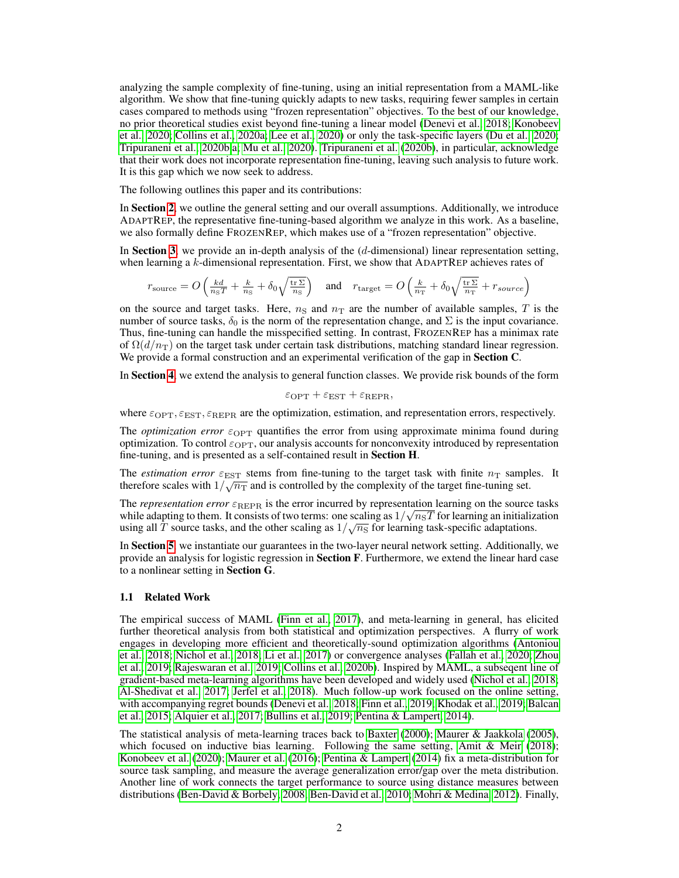analyzing the sample complexity of fine-tuning, using an initial representation from a MAML-like algorithm. We show that fine-tuning quickly adapts to new tasks, requiring fewer samples in certain cases compared to methods using "frozen representation" objectives. To the best of our knowledge, no prior theoretical studies exist beyond fine-tuning a linear model [\(Denevi et al., 2018;](#page-10-6) [Konobeev](#page-11-4) [et al., 2020;](#page-11-4) [Collins et al., 2020a;](#page-10-7) [Lee et al., 2020\)](#page-11-5) or only the task-specific layers [\(Du et al., 2020;](#page-10-3) [Tripuraneni et al., 2020b](#page-12-2)[,a;](#page-12-3) [Mu et al., 2020\)](#page-11-6). [Tripuraneni et al.](#page-12-2) [\(2020b\)](#page-12-2), in particular, acknowledge that their work does not incorporate representation fine-tuning, leaving such analysis to future work. It is this gap which we now seek to address.

The following outlines this paper and its contributions:

In Section [2](#page-2-0), we outline the general setting and our overall assumptions. Additionally, we introduce ADAPTREP, the representative fine-tuning-based algorithm we analyze in this work. As a baseline, we also formally define FROZENREP, which makes use of a "frozen representation" objective.

In Section [3](#page-3-0), we provide an in-depth analysis of the  $(d$ -dimensional) linear representation setting, when learning a  $k$ -dimensional representation. First, we show that ADAPTREP achieves rates of

$$
r_{\text{source}} = O\left(\frac{kd}{n_{\text{S}}T} + \frac{k}{n_{\text{S}}} + \delta_0 \sqrt{\frac{\text{tr}\,\Sigma}{n_{\text{S}}}}\right) \quad \text{and} \quad r_{\text{target}} = O\left(\frac{k}{n_{\text{T}}} + \delta_0 \sqrt{\frac{\text{tr}\,\Sigma}{n_{\text{T}}}} + r_{source}\right)
$$

on the source and target tasks. Here,  $n<sub>S</sub>$  and  $n<sub>T</sub>$  are the number of available samples, T is the number of source tasks,  $\delta_0$  is the norm of the representation change, and  $\Sigma$  is the input covariance. Thus, fine-tuning can handle the misspecified setting. In contrast, FROZENREP has a minimax rate of  $\Omega(d/n_{\rm T})$  on the target task under certain task distributions, matching standard linear regression. We provide a formal construction and an experimental verification of the gap in **Section C**.

In Section [4](#page-6-0), we extend the analysis to general function classes. We provide risk bounds of the form

$$
\varepsilon_{\text{OPT}} + \varepsilon_{\text{EST}} + \varepsilon_{\text{REPR}},
$$

where  $\varepsilon_{\text{OPT}}, \varepsilon_{\text{EST}}, \varepsilon_{\text{REPR}}$  are the optimization, estimation, and representation errors, respectively.

The *optimization error*  $\varepsilon_{\text{OPT}}$  quantifies the error from using approximate minima found during optimization. To control  $\varepsilon_{\text{OPT}}$ , our analysis accounts for nonconvexity introduced by representation fine-tuning, and is presented as a self-contained result in Section H.

The *estimation error*  $\varepsilon_{\text{EST}}$  stems from fine-tuning to the target task with finite  $n_{\text{T}}$  samples. It therefore scales with  $1/\sqrt{n_{\rm T}}$  and is controlled by the complexity of the target fine-tuning set.

The *representation error*  $\varepsilon_{REPR}$  is the error incurred by representation learning on the source tasks while adapting to them. It consists of two terms: one scaling as  $1/\sqrt{n_{\rm s}T}$  for learning an initialization using all T source tasks, and the other scaling as  $1/\sqrt{n_s}$  for learning task-specific adaptations.

In Section [5](#page-8-0), we instantiate our guarantees in the two-layer neural network setting. Additionally, we provide an analysis for logistic regression in **Section F**. Furthermore, we extend the linear hard case to a nonlinear setting in Section G.

## 1.1 Related Work

The empirical success of MAML [\(Finn et al., 2017\)](#page-11-1), and meta-learning in general, has elicited further theoretical analysis from both statistical and optimization perspectives. A flurry of work engages in developing more efficient and theoretically-sound optimization algorithms [\(Antoniou](#page-10-1) [et al., 2018;](#page-10-1) [Nichol et al., 2018;](#page-11-2) [Li et al., 2017\)](#page-11-7) or convergence analyses [\(Fallah et al., 2020;](#page-11-8) [Zhou](#page-12-7) [et al., 2019;](#page-12-7) [Rajeswaran et al., 2019;](#page-12-8) [Collins et al., 2020b\)](#page-10-8). Inspired by MAML, a subseqent line of gradient-based meta-learning algorithms have been developed and widely used [\(Nichol et al., 2018;](#page-11-2) [Al-Shedivat et al., 2017;](#page-10-2) [Jerfel et al., 2018\)](#page-11-9). Much follow-up work focused on the online setting, with accompanying regret bounds [\(Denevi et al., 2018;](#page-10-6) [Finn et al., 2019;](#page-11-10) [Khodak et al., 2019;](#page-11-11) [Balcan](#page-10-4) [et al., 2015;](#page-10-4) [Alquier et al., 2017;](#page-10-9) [Bullins et al., 2019;](#page-10-10) [Pentina & Lampert, 2014\)](#page-12-9).

The statistical analysis of meta-learning traces back to [Baxter](#page-10-11) [\(2000\)](#page-10-11); [Maurer & Jaakkola](#page-11-12) [\(2005\)](#page-11-12), which focused on inductive bias learning. Following the same setting, Amit  $\&$  Meir [\(2018\)](#page-10-12); [Konobeev et al.](#page-11-4) [\(2020\)](#page-11-4); [Maurer et al.](#page-11-13) [\(2016\)](#page-11-13); [Pentina & Lampert](#page-12-9) [\(2014\)](#page-12-9) fix a meta-distribution for source task sampling, and measure the average generalization error/gap over the meta distribution. Another line of work connects the target performance to source using distance measures between distributions [\(Ben-David & Borbely, 2008;](#page-10-13) [Ben-David et al., 2010;](#page-10-14) [Mohri & Medina, 2012\)](#page-11-14). Finally,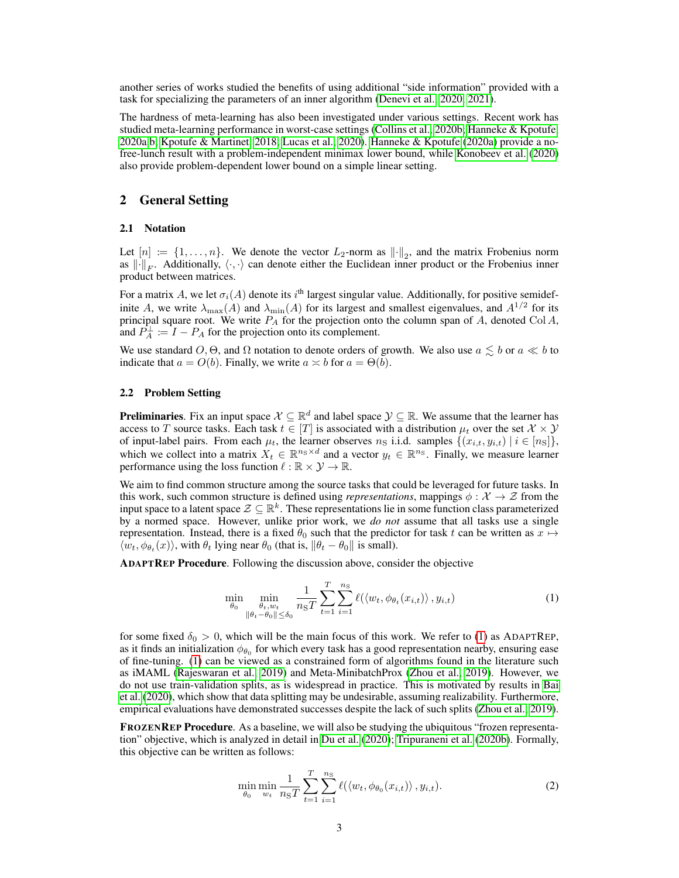another series of works studied the benefits of using additional "side information" provided with a task for specializing the parameters of an inner algorithm [\(Denevi et al., 2020,](#page-10-15) [2021\)](#page-10-16).

The hardness of meta-learning has also been investigated under various settings. Recent work has studied meta-learning performance in worst-case settings [\(Collins et al., 2020b;](#page-10-8) [Hanneke & Kpotufe,](#page-11-15) [2020a](#page-11-15)[,b;](#page-11-16) [Kpotufe & Martinet, 2018;](#page-11-17) [Lucas et al., 2020\)](#page-11-18). [Hanneke & Kpotufe](#page-11-15) [\(2020a\)](#page-11-15) provide a nofree-lunch result with a problem-independent minimax lower bound, while [Konobeev et al.](#page-11-4) [\(2020\)](#page-11-4) also provide problem-dependent lower bound on a simple linear setting.

# <span id="page-2-0"></span>2 General Setting

## 2.1 Notation

Let  $[n] := \{1, \ldots, n\}$ . We denote the vector  $L_2$ -norm as  $\|\cdot\|_2$ , and the matrix Frobenius norm as  $\|\cdot\|_F$ . Additionally,  $\langle \cdot, \cdot \rangle$  can denote either the Euclidean inner product or the Frobenius inner product between matrices.

For a matrix A, we let  $\sigma_i(A)$  denote its  $i^{\text{th}}$  largest singular value. Additionally, for positive semidefinite A, we write  $\lambda_{\max}(A)$  and  $\lambda_{\min}(A)$  for its largest and smallest eigenvalues, and  $A^{1/2}$  for its principal square root. We write  $P_A$  for the projection onto the column span of  $A$ , denoted Col  $A$ , and  $\hat{P}_A^{\perp} := I - P_A$  for the projection onto its complement.

We use standard O,  $\Theta$ , and  $\Omega$  notation to denote orders of growth. We also use  $a \leq b$  or  $a \ll b$  to indicate that  $a = O(b)$ . Finally, we write  $a \approx b$  for  $a = \Theta(b)$ .

## <span id="page-2-3"></span>2.2 Problem Setting

**Preliminaries**. Fix an input space  $\mathcal{X} \subseteq \mathbb{R}^d$  and label space  $\mathcal{Y} \subseteq \mathbb{R}$ . We assume that the learner has access to T source tasks. Each task  $t \in [T]$  is associated with a distribution  $\mu_t$  over the set  $\mathcal{X} \times \mathcal{Y}$ of input-label pairs. From each  $\mu_t$ , the learner observes  $n_S$  i.i.d. samples  $\{(x_{i,t}, y_{i,t}) \mid i \in [n_S]\},$ which we collect into a matrix  $X_t \in \mathbb{R}^{n_{\rm S} \times d}$  and a vector  $y_t \in \mathbb{R}^{n_{\rm S}}$ . Finally, we measure learner performance using the loss function  $\ell : \mathbb{R} \times \mathcal{Y} \to \mathbb{R}$ .

We aim to find common structure among the source tasks that could be leveraged for future tasks. In this work, such common structure is defined using *representations*, mappings  $\phi : \mathcal{X} \to \mathcal{Z}$  from the input space to a latent space  $\mathcal{Z} \subseteq \mathbb{R}^k$ . These representations lie in some function class parameterized by a normed space. However, unlike prior work, we *do not* assume that all tasks use a single representation. Instead, there is a fixed  $\theta_0$  such that the predictor for task t can be written as  $x \mapsto$  $\langle w_t, \phi_{\theta_t}(x) \rangle$ , with  $\theta_t$  lying near  $\theta_0$  (that is,  $\|\theta_t - \theta_0\|$  is small).

ADAPTREP Procedure. Following the discussion above, consider the objective

<span id="page-2-1"></span>
$$
\min_{\theta_0} \min_{\substack{\theta_t, w_t \\ \|\theta_t - \theta_0\| \le \delta_0}} \frac{1}{n_{\mathrm{S}}T} \sum_{t=1}^T \sum_{i=1}^{n_{\mathrm{S}}} \ell(\langle w_t, \phi_{\theta_t}(x_{i,t}) \rangle, y_{i,t}) \tag{1}
$$

for some fixed  $\delta_0 > 0$ , which will be the main focus of this work. We refer to [\(1\)](#page-2-1) as ADAPTREP, as it finds an initialization  $\phi_{\theta_0}$  for which every task has a good representation nearby, ensuring ease of fine-tuning. [\(1\)](#page-2-1) can be viewed as a constrained form of algorithms found in the literature such as iMAML [\(Rajeswaran et al., 2019\)](#page-12-8) and Meta-MinibatchProx [\(Zhou et al., 2019\)](#page-12-7). However, we do not use train-validation splits, as is widespread in practice. This is motivated by results in [Bai](#page-10-17) [et al.](#page-10-17) [\(2020\)](#page-10-17), which show that data splitting may be undesirable, assuming realizability. Furthermore, empirical evaluations have demonstrated successes despite the lack of such splits [\(Zhou et al., 2019\)](#page-12-7).

FROZENREP Procedure. As a baseline, we will also be studying the ubiquitous "frozen representation" objective, which is analyzed in detail in [Du et al.](#page-10-3) [\(2020\)](#page-10-3); [Tripuraneni et al.](#page-12-2) [\(2020b\)](#page-12-2). Formally, this objective can be written as follows:

<span id="page-2-2"></span>
$$
\min_{\theta_0} \min_{w_t} \frac{1}{n_{\rm SI}} \sum_{t=1}^T \sum_{i=1}^{n_{\rm SI}} \ell(\langle w_t, \phi_{\theta_0}(x_{i,t}) \rangle, y_{i,t}). \tag{2}
$$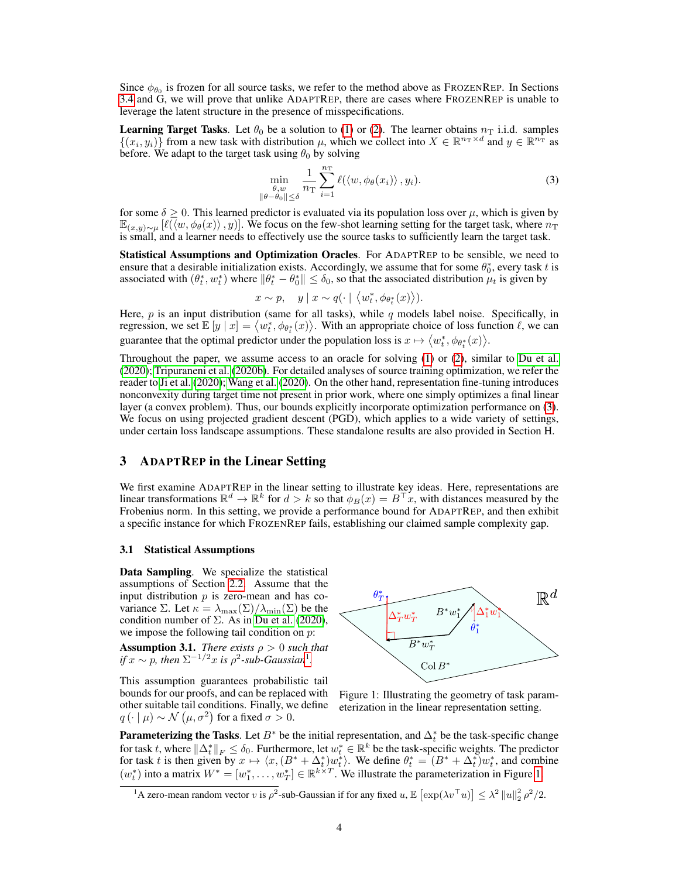Since  $\phi_{\theta_0}$  is frozen for all source tasks, we refer to the method above as FROZENREP. In Sections [3.4](#page-5-0) and G, we will prove that unlike ADAPTREP, there are cases where FROZENREP is unable to leverage the latent structure in the presence of misspecifications.

**Learning Target Tasks**. Let  $\theta_0$  be a solution to [\(1\)](#page-2-1) or [\(2\)](#page-2-2). The learner obtains  $n<sub>T</sub>$  i.i.d. samples  $\{(x_i, y_i)\}\)$  from a new task with distribution  $\mu$ , which we collect into  $X \in \mathbb{R}^{n_x \times d}$  and  $y \in \mathbb{R}^{n_x}$  as before. We adapt to the target task using  $\theta_0$  by solving

<span id="page-3-1"></span>
$$
\min_{\substack{\theta, w \\ \|\theta - \theta_0\| \le \delta}} \frac{1}{n_\text{T}} \sum_{i=1}^{n_\text{T}} \ell(\langle w, \phi_\theta(x_i) \rangle, y_i). \tag{3}
$$

for some  $\delta \geq 0$ . This learned predictor is evaluated via its population loss over  $\mu$ , which is given by  $\mathbb{E}_{(x,y)\sim\mu}[\ell(\langle w,\phi_{\theta}(x)\rangle,y)]$ . We focus on the few-shot learning setting for the target task, where  $n_{\rm T}$ is small, and a learner needs to effectively use the source tasks to sufficiently learn the target task.

Statistical Assumptions and Optimization Oracles. For ADAPTREP to be sensible, we need to ensure that a desirable initialization exists. Accordingly, we assume that for some  $\theta_0^*$ , every task t is associated with  $(\theta_t^*, w_t^*)$  where  $\|\theta_t^* - \theta_0^*\| \le \delta_0$ , so that the associated distribution  $\mu_t$  is given by

$$
x \sim p
$$
,  $y \mid x \sim q(\cdot \mid \langle w_t^*, \phi_{\theta_t^*}(x) \rangle)$ .

Here,  $p$  is an input distribution (same for all tasks), while  $q$  models label noise. Specifically, in regression, we set  $\mathbb{E}[y | x] = \langle w_t^*, \phi_{\theta_t^*}(x) \rangle$ . With an appropriate choice of loss function  $\ell$ , we can guarantee that the optimal predictor under the population loss is  $x \mapsto \langle w_t^*, \phi_{\theta_t^*}(x) \rangle$ .

Throughout the paper, we assume access to an oracle for solving [\(1\)](#page-2-1) or [\(2\)](#page-2-2), similar to [Du et al.](#page-10-3) [\(2020\)](#page-10-3); [Tripuraneni et al.](#page-12-2) [\(2020b\)](#page-12-2). For detailed analyses of source training optimization, we refer the reader to [Ji et al.](#page-11-19) [\(2020\)](#page-11-19); [Wang et al.](#page-12-10) [\(2020\)](#page-12-10). On the other hand, representation fine-tuning introduces nonconvexity during target time not present in prior work, where one simply optimizes a final linear layer (a convex problem). Thus, our bounds explicitly incorporate optimization performance on [\(3\)](#page-3-1). We focus on using projected gradient descent (PGD), which applies to a wide variety of settings, under certain loss landscape assumptions. These standalone results are also provided in Section H.

## <span id="page-3-0"></span>3 ADAPTREP in the Linear Setting

We first examine ADAPTREP in the linear setting to illustrate key ideas. Here, representations are linear transformations  $\mathbb{R}^d \to \mathbb{R}^k$  for  $d > k$  so that  $\phi_B(x) = B^\top x$ , with distances measured by the Frobenius norm. In this setting, we provide a performance bound for ADAPTREP, and then exhibit a specific instance for which FROZENREP fails, establishing our claimed sample complexity gap.

#### <span id="page-3-6"></span>3.1 Statistical Assumptions

Data Sampling. We specialize the statistical assumptions of Section [2.2.](#page-2-3) Assume that the input distribution  $p$  is zero-mean and has covariance Σ. Let  $\kappa = \lambda_{\max}(\Sigma)/\lambda_{\min}(\Sigma)$  be the condition number of  $\Sigma$ . As in [Du et al.](#page-10-3) [\(2020\)](#page-10-3), we impose the following tail condition on  $p$ :

<span id="page-3-5"></span>**Assumption 3.1.** *There exists*  $\rho > 0$  *such that if*  $x \sim p$ , then  $\Sigma^{-1/2}x$  $\Sigma^{-1/2}x$  $\Sigma^{-1/2}x$  *is*  $\rho^2$ -sub-Gaussian<sup>1</sup>.

This assumption guarantees probabilistic tail bounds for our proofs, and can be replaced with other suitable tail conditions. Finally, we define  $q(\cdot | \mu) \sim \mathcal{N}(\mu, \sigma^2)$  for a fixed  $\sigma > 0$ .

<span id="page-3-3"></span>

Figure 1: Illustrating the geometry of task parameterization in the linear representation setting.

**Parameterizing the Tasks**. Let  $B^*$  be the initial representation, and  $\Delta_t^*$  be the task-specific change for task t, where  $\|\Delta_t^*\|_F \le \delta_0$ . Furthermore, let  $w_t^* \in \mathbb{R}^k$  be the task-specific weights. The predictor for task t is then given by  $x \mapsto \langle x, (B^* + \Delta_t^*)w_t^* \rangle$ . We define  $\theta_t^* = (B^* + \Delta_t^*)w_t^*$ , and combine  $(w_t^*)$  into a matrix  $W^* = [w_1^*, \ldots, w_T^*] \in \mathbb{R}^{k \times T}$ . We illustrate the parameterization in Figure [1.](#page-3-3)

<span id="page-3-4"></span><span id="page-3-2"></span><sup>&</sup>lt;sup>1</sup>A zero-mean random vector v is  $\rho^2$ -sub-Gaussian if for any fixed  $u$ ,  $\mathbb{E} \left[ \exp(\lambda v^\top u) \right] \leq \lambda^2 ||u||_2^2 \rho^2/2$ .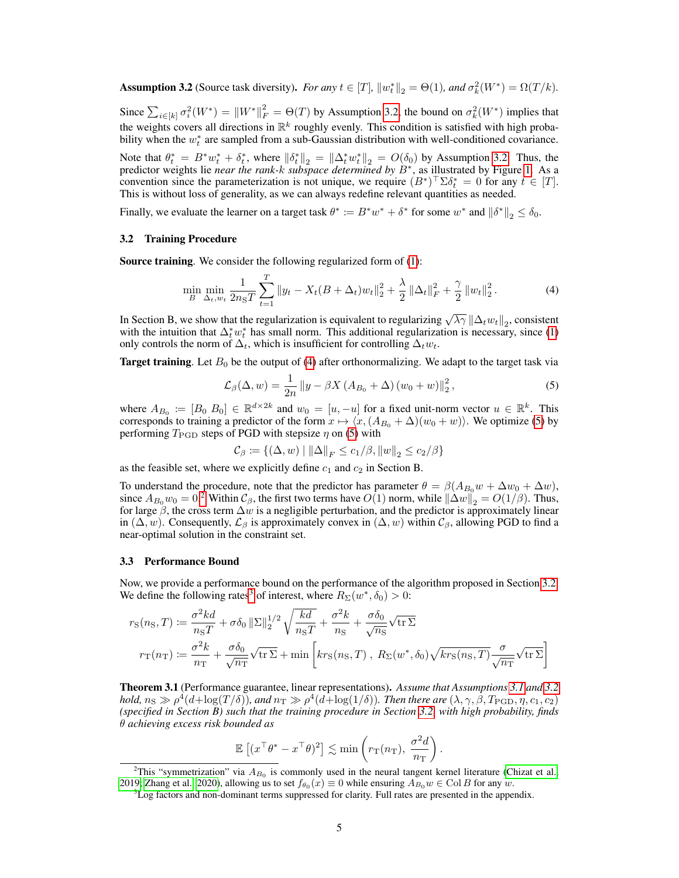**Assumption 3.2** (Source task diversity). *For any*  $t \in [T]$ ,  $||w_t^*||_2 = \Theta(1)$ , and  $\sigma_k^2(W^*) = \Omega(T/k)$ .

Since  $\sum_{i\in[k]}\sigma_i^2(W^*) = ||W^*||_F^2 = \Theta(T)$  by Assumption [3.2,](#page-3-4) the bound on  $\sigma_k^2(W^*)$  implies that the weights covers all directions in  $\mathbb{R}^k$  roughly evenly. This condition is satisfied with high probability when the  $w_t^*$  are sampled from a sub-Gaussian distribution with well-conditioned covariance.

Note that  $\theta_t^* = B^* w_t^* + \delta_t^*$ , where  $\|\delta_t^*\|_2 = \|\Delta_t^* w_t^*\|_2 = O(\delta_0)$  by Assumption [3.2.](#page-3-4) Thus, the predictor weights lie *near the rank-*k *subspace determined by* B<sup>∗</sup> , as illustrated by Figure [1.](#page-3-3) As a convention since the parameterization is not unique, we require  $(B^*)^\top \Sigma \delta_t^* = 0$  for any  $t \in [T]$ . This is without loss of generality, as we can always redefine relevant quantities as needed.

Finally, we evaluate the learner on a target task  $\theta^* := B^*w^* + \delta^*$  for some  $w^*$  and  $\|\delta^*\|_2 \leq \delta_0$ .

## <span id="page-4-3"></span>3.2 Training Procedure

Source training. We consider the following regularized form of [\(1\)](#page-2-1):

<span id="page-4-0"></span>
$$
\min_{B} \min_{\Delta_t, w_t} \frac{1}{2n_{\rm S}T} \sum_{t=1}^T \|y_t - X_t(B + \Delta_t)w_t\|_2^2 + \frac{\lambda}{2} \|\Delta_t\|_F^2 + \frac{\gamma}{2} \|w_t\|_2^2. \tag{4}
$$

In Section B, we show that the regularization is equivalent to regularizing  $\sqrt{\lambda \gamma} \|\Delta_t w_t\|_2$ , consistent with the intuition that  $\Delta_t^* w_t^*$  has small norm. This additional regularization is necessary, since [\(1\)](#page-2-1) only controls the norm of  $\Delta_t$ , which is insufficient for controlling  $\Delta_t w_t$ .

**Target training.** Let  $B_0$  be the output of [\(4\)](#page-4-0) after orthonormalizing. We adapt to the target task via

<span id="page-4-1"></span>
$$
\mathcal{L}_{\beta}(\Delta, w) = \frac{1}{2n} \left\| y - \beta X \left( A_{B_0} + \Delta \right) (w_0 + w) \right\|_2^2, \tag{5}
$$

where  $A_{B_0} := [B_0, B_0] \in \mathbb{R}^{d \times 2k}$  and  $w_0 = [u, -u]$  for a fixed unit-norm vector  $u \in \mathbb{R}^k$ . This corresponds to training a predictor of the form  $x \mapsto \langle x,(A_{B_0} + \Delta)(w_0 + w)\rangle$ . We optimize [\(5\)](#page-4-1) by performing  $T_{\text{PGD}}$  steps of PGD with stepsize  $\eta$  on [\(5\)](#page-4-1) with

$$
\mathcal{C}_{\beta} \coloneqq \{(\Delta, w) \mid ||\Delta||_F \leq c_1/\beta, ||w||_2 \leq c_2/\beta\}
$$

as the feasible set, where we explicitly define  $c_1$  and  $c_2$  in Section B.

To understand the procedure, note that the predictor has parameter  $\theta = \beta(A_{B_0}w + \Delta w_0 + \Delta w)$ , since  $A_{B_0}w_0 = 0$ .<sup>[2](#page-4-2)</sup> Within  $\mathcal{C}_{\beta}$ , the first two terms have  $O(1)$  norm, while  $\|\Delta w\|_2 = O(1/\beta)$ . Thus, for large  $\beta$ , the cross term  $\Delta w$  is a negligible perturbation, and the predictor is approximately linear in  $(\Delta, w)$ . Consequently,  $\mathcal{L}_{\beta}$  is approximately convex in  $(\Delta, w)$  within  $\mathcal{C}_{\beta}$ , allowing PGD to find a near-optimal solution in the constraint set.

## 3.3 Performance Bound

Now, we provide a performance bound on the performance of the algorithm proposed in Section [3.2.](#page-4-3) We define the following rates<sup>[3](#page-4-4)</sup> of interest, where  $R_{\Sigma}(w^*, \delta_0) > 0$ :

$$
r_{\rm S}(n_{\rm S},T) := \frac{\sigma^2 kd}{n_{\rm S}T} + \sigma \delta_0 \|\Sigma\|_2^{1/2} \sqrt{\frac{kd}{n_{\rm S}T}} + \frac{\sigma^2 k}{n_{\rm S}} + \frac{\sigma \delta_0}{\sqrt{n_{\rm S}}} \sqrt{\text{tr }\Sigma}
$$

$$
r_{\rm T}(n_{\rm T}) := \frac{\sigma^2 k}{n_{\rm T}} + \frac{\sigma \delta_0}{\sqrt{n_{\rm T}}} \sqrt{\text{tr }\Sigma} + \min \left[kr_{\rm S}(n_{\rm S},T), R_{\rm \Sigma}(w^*, \delta_0) \sqrt{kr_{\rm S}(n_{\rm S},T)} \frac{\sigma}{\sqrt{n_{\rm T}}} \sqrt{\text{tr }\Sigma}\right]
$$

<span id="page-4-5"></span>Theorem 3.1 (Performance guarantee, linear representations). *Assume that Assumptions [3.1](#page-3-5) and [3.2](#page-3-4)* hold,  $n_S\gg \rho^4(d+\log(T/\delta))$ , and  $n_T\gg \rho^4(d+\log(1/\delta))$ . Then there are  $(\lambda,\gamma,\beta,T_{\rm PGD},\eta,c_1,c_2)$ *(specified in Section B) such that the training procedure in Section [3.2,](#page-4-3) with high probability, finds* θ *achieving excess risk bounded as*

$$
\mathbb{E}\left[ (x^{\top} \theta^* - x^{\top} \theta)^2 \right] \lesssim \min\left( r_{\mathrm{T}}(n_{\mathrm{T}}), \frac{\sigma^2 d}{n_{\mathrm{T}}} \right).
$$

<span id="page-4-2"></span><sup>&</sup>lt;sup>2</sup>This "symmetrization" via  $A_{B_0}$  is commonly used in the neural tangent kernel literature [\(Chizat et al.,](#page-10-18) [2019;](#page-10-18) [Zhang et al., 2020\)](#page-12-11), allowing us to set  $f_{\theta_0}(x) \equiv 0$  while ensuring  $A_{B_0}w \in \text{Col }B$  for any  $w$ .

<span id="page-4-4"></span><sup>&</sup>lt;sup>3</sup>Log factors and non-dominant terms suppressed for clarity. Full rates are presented in the appendix.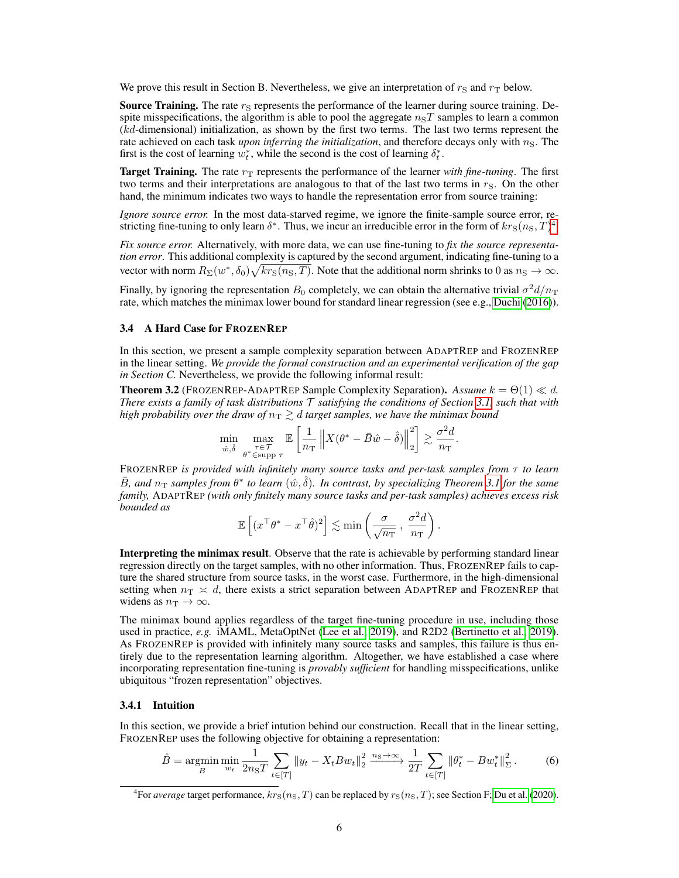We prove this result in Section B. Nevertheless, we give an interpretation of  $r_S$  and  $r_T$  below.

**Source Training.** The rate  $r<sub>S</sub>$  represents the performance of the learner during source training. Despite misspecifications, the algorithm is able to pool the aggregate  $n<sub>S</sub>T$  samples to learn a common (kd-dimensional) initialization, as shown by the first two terms. The last two terms represent the rate achieved on each task *upon inferring the initialization*, and therefore decays only with  $n<sub>S</sub>$ . The first is the cost of learning  $w_t^*$ , while the second is the cost of learning  $\delta_t^*$ .

**Target Training.** The rate  $r<sub>T</sub>$  represents the performance of the learner *with fine-tuning*. The first two terms and their interpretations are analogous to that of the last two terms in  $r<sub>S</sub>$ . On the other hand, the minimum indicates two ways to handle the representation error from source training:

*Ignore source error.* In the most data-starved regime, we ignore the finite-sample source error, restricting fine-tuning to only learn  $\delta^*$ . Thus, we incur an irreducible error in the form of  $kr_S(n_S, T)^4$  $kr_S(n_S, T)^4$ .

*Fix source error.* Alternatively, with more data, we can use fine-tuning to *fix the source representation error*. This additional complexity is captured by the second argument, indicating fine-tuning to a vector with norm  $R_\Sigma(w^*, \delta_0)\sqrt{kr_S(n_S, T)}$ . Note that the additional norm shrinks to 0 as  $n_S \to \infty$ .

Finally, by ignoring the representation  $B_0$  completely, we can obtain the alternative trivial  $\sigma^2 d/n_T$ rate, which matches the minimax lower bound for standard linear regression (see e.g., [Duchi](#page-10-19) [\(2016\)](#page-10-19)).

## <span id="page-5-0"></span>3.4 A Hard Case for FROZENREP

In this section, we present a sample complexity separation between ADAPTREP and FROZENREP in the linear setting. *We provide the formal construction and an experimental verification of the gap in Section C.* Nevertheless, we provide the following informal result:

**Theorem 3.2** (FROZENREP-ADAPTREP Sample Complexity Separation). *Assume*  $k = \Theta(1) \ll d$ . *There exists a family of task distributions* T *satisfying the conditions of Section [3.1,](#page-3-6) such that with high probability over the draw of*  $n<sub>T</sub> \gtrsim d$  *target samples, we have the minimax bound* 

$$
\min_{\hat{w}, \hat{\delta}} \max_{\substack{\tau \in \mathcal{T} \\ \theta^* \in \text{supp } \tau}} \mathbb{E} \left[ \frac{1}{n_\text{T}} \left\| X(\theta^* - \bar{B}\hat{w} - \hat{\delta}) \right\|_2^2 \right] \gtrsim \frac{\sigma^2 d}{n_\text{T}}.
$$

FROZENREP *is provided with infinitely many source tasks and per-task samples from* τ *to learn*  $\bar{B}$ , and  $n_T$  samples from  $\theta^*$  to learn  $(\hat{w}, \hat{\delta})$ . In contrast, by specializing Theorem [3.1](#page-4-5) for the same *family,* ADAPTREP *(with only finitely many source tasks and per-task samples) achieves excess risk bounded as*

$$
\mathbb{E}\left[ (x^\top \theta^* - x^\top \hat{\theta})^2 \right] \lesssim \min\left( \frac{\sigma}{\sqrt{n_\mathrm{T}}} \, , \, \frac{\sigma^2 d}{n_\mathrm{T}} \right).
$$

Interpreting the minimax result. Observe that the rate is achievable by performing standard linear regression directly on the target samples, with no other information. Thus, FROZENREP fails to capture the shared structure from source tasks, in the worst case. Furthermore, in the high-dimensional setting when  $n_T \approx d$ , there exists a strict separation between ADAPTREP and FROZENREP that widens as  $n_T \to \infty$ .

The minimax bound applies regardless of the target fine-tuning procedure in use, including those used in practice, *e.g.* iMAML, MetaOptNet [\(Lee et al., 2019\)](#page-11-20), and R2D2 [\(Bertinetto et al., 2019\)](#page-10-20). As FROZENREP is provided with infinitely many source tasks and samples, this failure is thus entirely due to the representation learning algorithm. Altogether, we have established a case where incorporating representation fine-tuning is *provably sufficient* for handling misspecifications, unlike ubiquitous "frozen representation" objectives.

## 3.4.1 Intuition

In this section, we provide a brief intution behind our construction. Recall that in the linear setting, FROZENREP uses the following objective for obtaining a representation:

$$
\hat{B} = \underset{B}{\text{argmin}} \min_{w_t} \frac{1}{2n_{\text{S}}T} \sum_{t \in [T]} \|y_t - X_t B w_t\|_2^2 \xrightarrow{n_{\text{S}} \to \infty} \frac{1}{2T} \sum_{t \in [T]} \|\theta_t^* - B w_t^*\|_{\Sigma}^2. \tag{6}
$$

<span id="page-5-1"></span><sup>&</sup>lt;sup>4</sup> For *average* target performance,  $krs(n_S, T)$  can be replaced by  $r_S(n_S, T)$ ; see Section F; [Du et al.](#page-10-3) [\(2020\)](#page-10-3).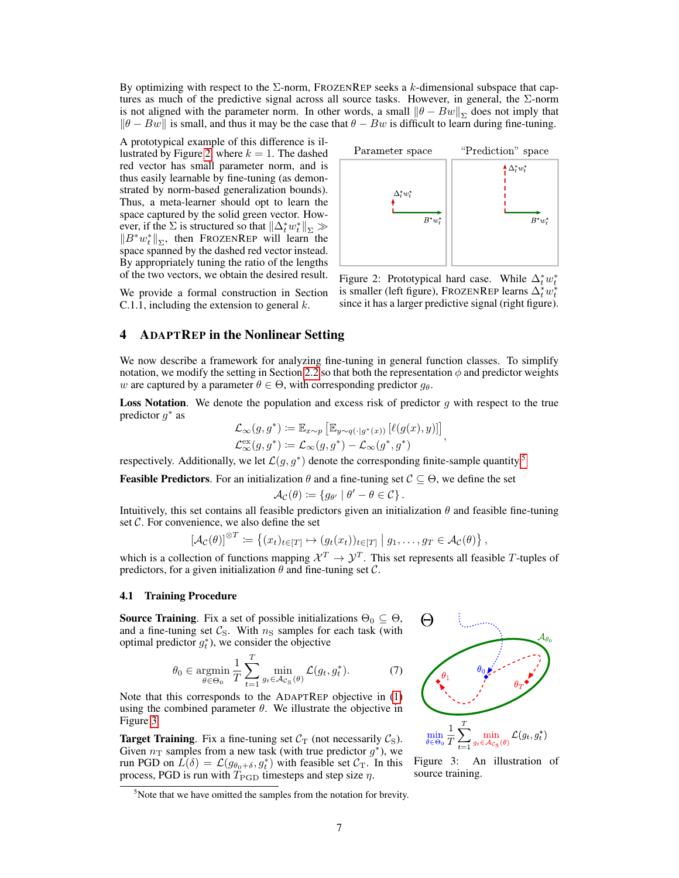By optimizing with respect to the  $\Sigma$ -norm, FROZENREP seeks a k-dimensional subspace that captures as much of the predictive signal across all source tasks. However, in general, the Σ-norm is not aligned with the parameter norm. In other words, a small  $\|\theta - Bw\|_{\Sigma}$  does not imply that  $\|\theta - Bw\|$  is small, and thus it may be the case that  $\theta - Bw$  is difficult to learn during fine-tuning.

A prototypical example of this difference is il-lustrated by Figure [2,](#page-6-1) where  $k = 1$ . The dashed red vector has small parameter norm, and is thus easily learnable by fine-tuning (as demonstrated by norm-based generalization bounds). Thus, a meta-learner should opt to learn the space captured by the solid green vector. However, if the  $\Sigma$  is structured so that  $\|\Delta_t^* w_t^*\|_{\Sigma} \gg$  $||B^*w_t^*||_{\Sigma}$ , then FROZENREP will learn the space spanned by the dashed red vector instead. By appropriately tuning the ratio of the lengths of the two vectors, we obtain the desired result.

We provide a formal construction in Section C.1.1, including the extension to general  $k$ .

<span id="page-6-1"></span>

Figure 2: Prototypical hard case. While  $\Delta_t^* w_t^*$ is smaller (left figure), FROZENREP learns  $\Delta_t^* w_t^*$ since it has a larger predictive signal (right figure).

# <span id="page-6-0"></span>4 ADAPTREP in the Nonlinear Setting

We now describe a framework for analyzing fine-tuning in general function classes. To simplify notation, we modify the setting in Section [2.2](#page-2-3) so that both the representation  $\phi$  and predictor weights w are captured by a parameter  $\theta \in \Theta$ , with corresponding predictor  $g_{\theta}$ .

**Loss Notation.** We denote the population and excess risk of predictor  $g$  with respect to the true predictor  $g^*$  as

$$
\mathcal{L}_{\infty}(g, g^*) \coloneqq \mathbb{E}_{x \sim p} \left[ \mathbb{E}_{y \sim q(\cdot | g^*(x))} \left[ \ell(g(x), y) \right] \right],
$$
  

$$
\mathcal{L}_{\infty}^{\text{ex}}(g, g^*) \coloneqq \mathcal{L}_{\infty}(g, g^*) - \mathcal{L}_{\infty}(g^*, g^*)
$$

respectively. Additionally, we let  $\mathcal{L}(g, g^*)$  denote the corresponding finite-sample quantity.<sup>[5](#page-6-2)</sup>

**Feasible Predictors.** For an initialization  $\theta$  and a fine-tuning set  $\mathcal{C} \subseteq \Theta$ , we define the set

$$
\mathcal{A}_{\mathcal{C}}(\theta) \coloneqq \{g_{\theta'} \mid \theta' - \theta \in \mathcal{C}\}.
$$

Intuitively, this set contains all feasible predictors given an initialization  $\theta$  and feasible fine-tuning set  $C$ . For convenience, we also define the set

$$
\left[\mathcal{A}_{\mathcal{C}}(\theta)\right]^{\otimes T} \coloneqq \left\{(x_t)_{t \in [T]} \mapsto (g_t(x_t))_{t \in [T]} \mid g_1, \dots, g_T \in \mathcal{A}_{\mathcal{C}}(\theta)\right\},\
$$

which is a collection of functions mapping  $\mathcal{X}^T \to \mathcal{Y}^T$ . This set represents all feasible T-tuples of predictors, for a given initialization  $\theta$  and fine-tuning set  $\mathcal{C}$ .

## <span id="page-6-5"></span>4.1 Training Procedure

**Source Training**. Fix a set of possible initializations  $\Theta_0 \subseteq \Theta$ , and a fine-tuning set  $C_{\rm S}$ . With  $n_{\rm S}$  samples for each task (with optimal predictor  $g_t^*$ ), we consider the objective

<span id="page-6-4"></span>
$$
\theta_0 \in \operatorname*{argmin}_{\theta \in \Theta_0} \frac{1}{T} \sum_{t=1}^T \min_{g_t \in \mathcal{A}_{C_{\mathcal{S}}}(\theta)} \mathcal{L}(g_t, g_t^*).
$$
 (7)

Note that this corresponds to the ADAPTREP objective in [\(1\)](#page-2-1) using the combined parameter  $\theta$ . We illustrate the objective in Figure [3](#page-6-3)

**Target Training**. Fix a fine-tuning set  $C_T$  (not necessarily  $C_S$ ). Given  $n_T$  samples from a new task (with true predictor  $g^*$ ), we run PGD on  $\hat{L}(\delta) = \mathcal{L}(g_{\theta_0+\delta}, g_t^*)$  with feasible set  $\mathcal{C}_T$ . In this process, PGD is run with  $T_{\rm PGD}$  timesteps and step size  $\eta$ .

<span id="page-6-3"></span> $\Theta$ 

Figure 3: An illustration of source training.

 $\min_{g_t \in \mathcal{A}_{\mathcal{C}_{\mathrm{S}}}(\theta)} \mathcal{L}(g_t, g_t^*)$ 

<span id="page-6-2"></span> $5$ Note that we have omitted the samples from the notation for brevity.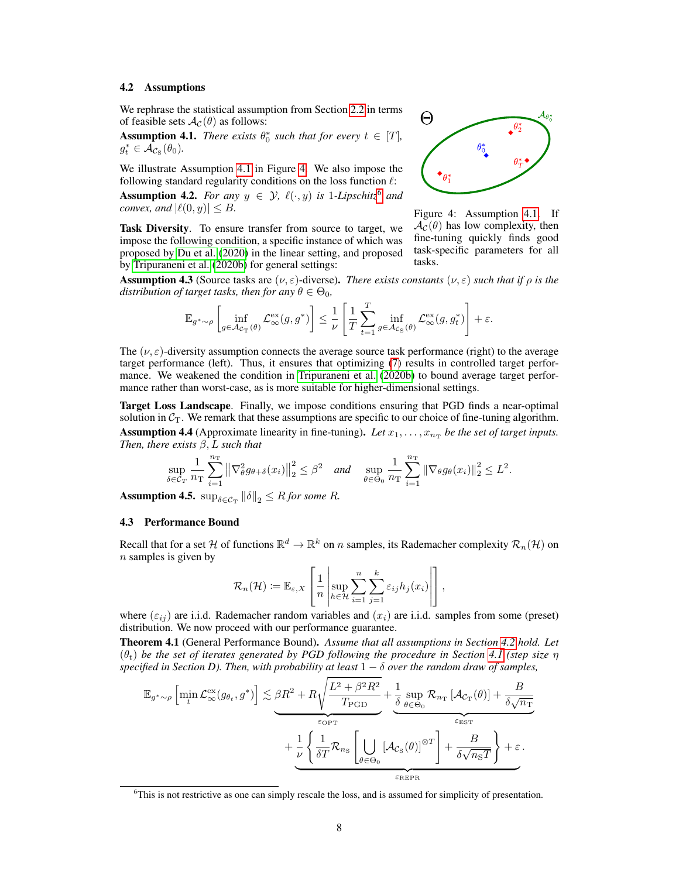## <span id="page-7-3"></span>4.2 Assumptions

We rephrase the statistical assumption from Section [2.2](#page-2-3) in terms of feasible sets  $A_{\mathcal{C}}(\theta)$  as follows:

<span id="page-7-0"></span>**Assumption 4.1.** *There exists*  $\theta_0^*$  *such that for every*  $t \in [T]$ *,*  $g_t^* \in \tilde{\mathcal{A}_{C_{\mathrm{S}}}}(\theta_0)$ .

We illustrate Assumption [4.1](#page-7-0) in Figure [4.](#page-7-1) We also impose the following standard regularity conditions on the loss function  $\ell$ :

**Assumption 4.2.** *For any*  $y \in \mathcal{Y}$ ,  $\ell(\cdot, y)$  *is* 1-*Lipschitz*<sup>[6](#page-7-2)</sup> *and convex, and*  $|\ell(0, y)| \leq B$ .

Task Diversity. To ensure transfer from source to target, we impose the following condition, a specific instance of which was proposed by [Du et al.](#page-10-3) [\(2020\)](#page-10-3) in the linear setting, and proposed by [Tripuraneni et al.](#page-12-2) [\(2020b\)](#page-12-2) for general settings:

<span id="page-7-1"></span>

Figure 4: Assumption [4.1.](#page-7-0) If  $\mathcal{A}_{\mathcal{C}}(\theta)$  has low complexity, then fine-tuning quickly finds good task-specific parameters for all tasks.

**Assumption 4.3** (Source tasks are  $(\nu, \varepsilon)$ -diverse). *There exists constants*  $(\nu, \varepsilon)$  *such that if*  $\rho$  *is the distribution of target tasks, then for any*  $\theta \in \Theta_0$ ,

$$
\mathbb{E}_{g^*\sim\rho}\left[\inf_{g\in\mathcal{A}_{C_{\mathrm{T}}}(\theta)}\mathcal{L}_\infty^{\mathrm{ex}}(g,g^*)\right] \leq \frac{1}{\nu}\left[\frac{1}{T}\sum_{t=1}^T\inf_{g\in\mathcal{A}_{C_{\mathrm{S}}}(\theta)}\mathcal{L}_\infty^{\mathrm{ex}}(g,g_t^*)\right]+\varepsilon.
$$

The  $(\nu, \varepsilon)$ -diversity assumption connects the average source task performance (right) to the average target performance (left). Thus, it ensures that optimizing [\(7\)](#page-6-4) results in controlled target performance. We weakened the condition in [Tripuraneni et al.](#page-12-2) [\(2020b\)](#page-12-2) to bound average target performance rather than worst-case, as is more suitable for higher-dimensional settings.

Target Loss Landscape. Finally, we impose conditions ensuring that PGD finds a near-optimal solution in  $C_T$ . We remark that these assumptions are specific to our choice of fine-tuning algorithm. **Assumption 4.4** (Approximate linearity in fine-tuning). Let  $x_1, \ldots, x_{n_T}$  be the set of target inputs. *Then, there exists* β, L *such that*

$$
\sup_{\delta \in \mathcal{C}_T} \frac{1}{n_\mathrm{T}} \sum_{i=1}^{n_\mathrm{T}} \left\| \nabla_\theta^2 g_{\theta+\delta}(x_i) \right\|_2^2 \leq \beta^2 \quad \text{and} \quad \sup_{\theta \in \Theta_0} \frac{1}{n_\mathrm{T}} \sum_{i=1}^{n_\mathrm{T}} \left\| \nabla_\theta g_{\theta}(x_i) \right\|_2^2 \leq L^2.
$$

**Assumption 4.5.**  $\sup_{\delta \in \mathcal{C}_{\mathrm{T}}} \|\delta\|_2 \leq R$  for some R.

#### 4.3 Performance Bound

Recall that for a set H of functions  $\mathbb{R}^d \to \mathbb{R}^k$  on n samples, its Rademacher complexity  $\mathcal{R}_n(\mathcal{H})$  on  $n$  samples is given by

$$
\mathcal{R}_n(\mathcal{H}) \coloneqq \mathbb{E}_{\varepsilon,X} \left[ \frac{1}{n} \left| \sup_{h \in \mathcal{H}} \sum_{i=1}^n \sum_{j=1}^k \varepsilon_{ij} h_j(x_i) \right| \right],
$$

where  $(\varepsilon_{ij})$  are i.i.d. Rademacher random variables and  $(x_i)$  are i.i.d. samples from some (preset) distribution. We now proceed with our performance guarantee.

<span id="page-7-4"></span>Theorem 4.1 (General Performance Bound). *Assume that all assumptions in Section [4.2](#page-7-3) hold. Let*  $(\theta_t)$  be the set of iterates generated by PGD following the procedure in Section [4.1](#page-6-5) (step size  $\eta$ *specified in Section D). Then, with probability at least*  $1 - \delta$  *over the random draw of samples,* 

$$
\mathbb{E}_{g^*\sim\rho}\left[\min_t \mathcal{L}^{\text{ex}}_{\infty}(g_{\theta_t}, g^*)\right] \lesssim \underbrace{\beta R^2 + R\sqrt{\frac{L^2 + \beta^2 R^2}{T_{\text{PGD}}}}} + \underbrace{\frac{1}{\delta}\sup_{\theta\in\Theta_0}\mathcal{R}_{n_{\text{T}}}[\mathcal{A}_{\mathcal{C}_{\text{T}}}(\theta)]}_{\varepsilon_{\text{EST}}} + \underbrace{\frac{1}{\nu}\left\{\frac{1}{\delta T}\mathcal{R}_{n_{\text{S}}}\left[\bigcup_{\theta\in\Theta_0}[\mathcal{A}_{\mathcal{C}_{\text{S}}}(\theta)]^{\otimes T}\right] + \frac{B}{\delta\sqrt{n_{\text{S}}T}}\right\} + \varepsilon}_{\varepsilon_{\text{REPR}}}.
$$

<span id="page-7-2"></span><sup>&</sup>lt;sup>6</sup>This is not restrictive as one can simply rescale the loss, and is assumed for simplicity of presentation.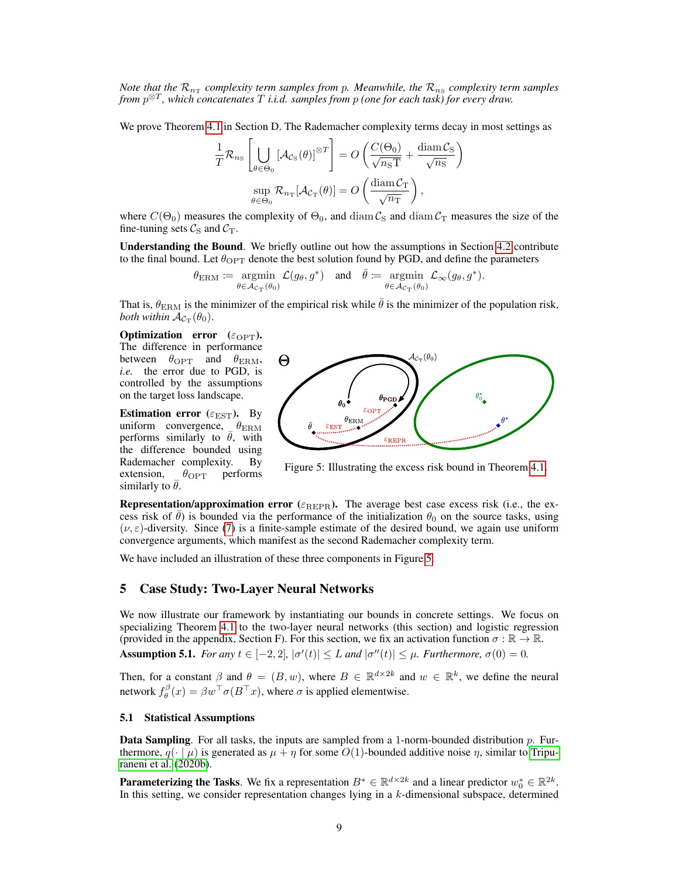*Note that the*  $\mathcal{R}_{n_{\rm T}}$  complexity term samples from p. Meanwhile, the  $\mathcal{R}_{n_{\rm S}}$  complexity term samples *from* p ⊗T *, which concatenates* T *i.i.d. samples from* p *(one for each task) for every draw.*

We prove Theorem [4.1](#page-7-4) in Section D. The Rademacher complexity terms decay in most settings as

$$
\frac{1}{T} \mathcal{R}_{n_{\mathrm{S}}} \left[ \bigcup_{\theta \in \Theta_{0}} \left[ \mathcal{A}_{\mathcal{C}_{\mathrm{S}}}(\theta) \right]^{\otimes T} \right] = O \left( \frac{C(\Theta_{0})}{\sqrt{n_{\mathrm{S}}T}} + \frac{\operatorname{diam} \mathcal{C}_{\mathrm{S}}}{\sqrt{n_{\mathrm{S}}}} \right)
$$

$$
\sup_{\theta \in \Theta_{0}} \mathcal{R}_{n_{\mathrm{T}}}[\mathcal{A}_{\mathcal{C}_{\mathrm{T}}}(\theta)] = O \left( \frac{\operatorname{diam} \mathcal{C}_{\mathrm{T}}}{\sqrt{n_{\mathrm{T}}}} \right),
$$

where  $C(\Theta_0)$  measures the complexity of  $\Theta_0$ , and diam  $\mathcal{C}_S$  and diam  $\mathcal{C}_T$  measures the size of the fine-tuning sets  $\mathcal{C}_S$  and  $\mathcal{C}_T$ .

Understanding the Bound. We briefly outline out how the assumptions in Section [4.2](#page-7-3) contribute to the final bound. Let  $\theta_{\text{OPT}}$  denote the best solution found by PGD, and define the parameters

$$
\theta_{\text{ERM}} := \operatornamewithlimits{argmin}_{\theta \in \mathcal{A}_{\mathcal{C}_{\text{T}}}(\theta_0)} \mathcal{L}(g_\theta, g^*) \quad \text{and} \quad \bar{\theta} := \operatornamewithlimits{argmin}_{\theta \in \mathcal{A}_{\mathcal{C}_{\text{T}}}(\theta_0)} \mathcal{L}_{\infty}(g_\theta, g^*).
$$

That is,  $\theta_{\text{ERM}}$  is the minimizer of the empirical risk while  $\bar{\theta}$  is the minimizer of the population risk, both within  $\mathcal{A}_{\mathcal{C}_{\mathrm{T}}}(\theta_0)$ .

Optimization error  $(\varepsilon_{\text{OPT}})$ . The difference in performance between  $\theta_{\text{OPT}}$  and  $\theta_{\text{ERM}}$ , *i.e.* the error due to PGD, is controlled by the assumptions on the target loss landscape.

Estimation error ( $\varepsilon_{\text{EST}}$ ). By uniform convergence,  $\theta_{\text{ERM}}$ performs similarly to  $\bar{\theta}$ , with the difference bounded using Rademacher complexity. By extension,  $\theta_{\text{OPT}}$  performs similarly to  $\bar{\theta}$ .

<span id="page-8-1"></span>

Figure 5: Illustrating the excess risk bound in Theorem [4.1.](#page-7-4)

**Representation/approximation error** ( $\varepsilon_{REPR}$ ). The average best case excess risk (i.e., the excess risk of  $\theta$ ) is bounded via the performance of the initialization  $\theta_0$  on the source tasks, using  $(\nu, \varepsilon)$ -diversity. Since [\(7\)](#page-6-4) is a finite-sample estimate of the desired bound, we again use uniform convergence arguments, which manifest as the second Rademacher complexity term.

We have included an illustration of these three components in Figure [5.](#page-8-1)

## <span id="page-8-0"></span>5 Case Study: Two-Layer Neural Networks

We now illustrate our framework by instantiating our bounds in concrete settings. We focus on specializing Theorem [4.1](#page-7-4) to the two-layer neural networks (this section) and logistic regression (provided in the appendix, Section F). For this section, we fix an activation function  $\sigma : \mathbb{R} \to \mathbb{R}$ .

<span id="page-8-2"></span>Assumption 5.1. *For any*  $t \in [-2,2]$ ,  $|\sigma'(t)| \leq L$  *and*  $|\sigma''(t)| \leq \mu$ . *Furthermore*,  $\sigma(0) = 0$ .

Then, for a constant  $\beta$  and  $\theta = (B, w)$ , where  $B \in \mathbb{R}^{d \times 2k}$  and  $w \in \mathbb{R}^k$ , we define the neural network  $f_{\theta}^{\beta}(x) = \beta w^{\top} \sigma(B^{\top}x)$ , where  $\sigma$  is applied elementwise.

## <span id="page-8-3"></span>5.1 Statistical Assumptions

**Data Sampling.** For all tasks, the inputs are sampled from a 1-norm-bounded distribution  $p$ . Furthermore,  $q(\cdot | \mu)$  is generated as  $\mu + \eta$  for some  $O(1)$ -bounded additive noise  $\eta$ , similar to [Tripu](#page-12-2)[raneni et al.](#page-12-2) [\(2020b\)](#page-12-2).

**Parameterizing the Tasks**. We fix a representation  $B^* \in \mathbb{R}^{d \times 2k}$  and a linear predictor  $w_0^* \in \mathbb{R}^{2k}$ . In this setting, we consider representation changes lying in a  $k$ -dimensional subspace, determined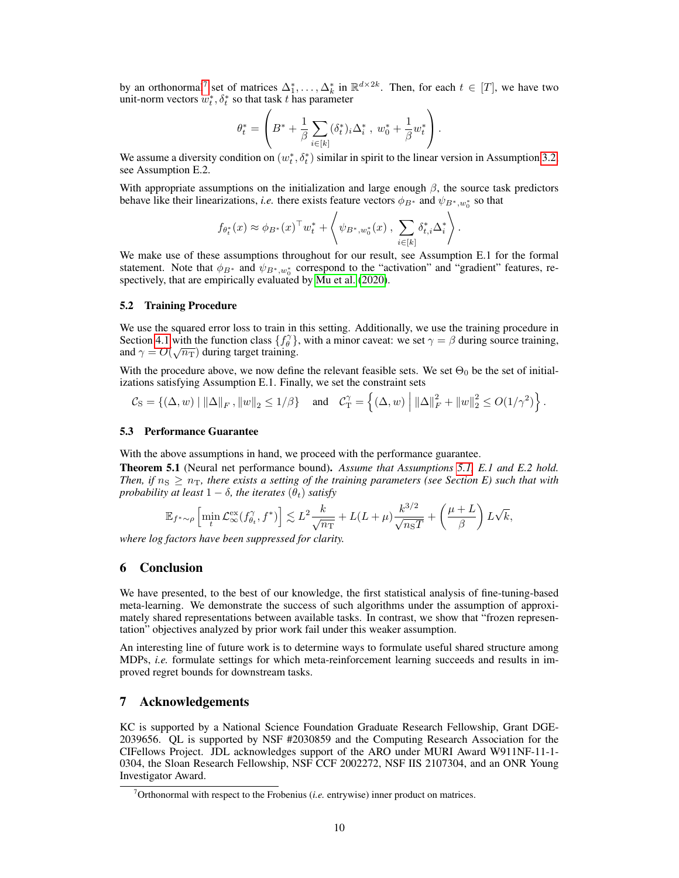by an orthonormal<sup>[7](#page-9-0)</sup> set of matrices  $\Delta_1^*, \ldots, \Delta_k^*$  in  $\mathbb{R}^{d \times 2k}$ . Then, for each  $t \in [T]$ , we have two unit-norm vectors  $w_t^*, \delta_t^*$  so that task t has parameter

$$
\theta_t^* = \left(B^* + \frac{1}{\beta}\sum_{i\in[k]}(\delta_t^*)_i\Delta_i^*\;,\;w_0^* + \frac{1}{\beta}w_t^*\right).
$$

We assume a diversity condition on  $(w_t^*, \delta_t^*)$  similar in spirit to the linear version in Assumption [3.2,](#page-3-4) see Assumption E.2.

With appropriate assumptions on the initialization and large enough  $\beta$ , the source task predictors behave like their linearizations, *i.e.* there exists feature vectors  $\phi_{B^*}$  and  $\psi_{B^*,w_0^*}$  so that

$$
f_{\theta_t^*}(x) \approx \phi_{B^*}(x)^\top w_t^* + \left\langle \psi_{B^*,w_0^*}(x) , \sum_{i \in [k]} \delta_{t,i}^* \Delta_i^* \right\rangle.
$$

We make use of these assumptions throughout for our result, see Assumption E.1 for the formal statement. Note that  $\phi_{B^*}$  and  $\psi_{B^*,w_0^*}$  correspond to the "activation" and "gradient" features, respectively, that are empirically evaluated by [Mu et al.](#page-11-6) [\(2020\)](#page-11-6).

### 5.2 Training Procedure

We use the squared error loss to train in this setting. Additionally, we use the training procedure in Section [4.1](#page-6-5) with the function class  $\{f_{\theta}^{\gamma}\}\$ , with a minor caveat: we set  $\gamma = \beta$  during source training, and  $\gamma = O(\sqrt{n_T})$  during target training.

With the procedure above, we now define the relevant feasible sets. We set  $\Theta_0$  be the set of initializations satisfying Assumption E.1. Finally, we set the constraint sets

$$
C_{\rm S} = \left\{ (\Delta, w) \mid ||\Delta||_F, ||w||_2 \le 1/\beta \right\} \quad \text{and} \quad C_{\rm T}^{\gamma} = \left\{ (\Delta, w) \mid ||\Delta||_F^2 + ||w||_2^2 \le O(1/\gamma^2) \right\}.
$$

#### 5.3 Performance Guarantee

With the above assumptions in hand, we proceed with the performance guarantee.

Theorem 5.1 (Neural net performance bound). *Assume that Assumptions [5.1,](#page-8-2) E.1 and E.2 hold. Then, if*  $n_S \geq n_T$ , there exists a setting of the training parameters (see Section E) such that with *probability at least*  $1 - \delta$ *, the iterates*  $(\theta_t)$  *satisfy* 

$$
\mathbb{E}_{f^*\sim \rho}\left[\min_t\mathcal{L}^{\text{ex}}_\infty(f^\gamma_{\theta_t},f^*)\right] \lesssim L^2 \frac{k}{\sqrt{n_\text{T}}} + L(L+\mu) \frac{k^{3/2}}{\sqrt{n_\text{S}T}} + \left(\frac{\mu+L}{\beta}\right) L\sqrt{k},
$$

*where log factors have been suppressed for clarity.*

## 6 Conclusion

We have presented, to the best of our knowledge, the first statistical analysis of fine-tuning-based meta-learning. We demonstrate the success of such algorithms under the assumption of approximately shared representations between available tasks. In contrast, we show that "frozen representation" objectives analyzed by prior work fail under this weaker assumption.

An interesting line of future work is to determine ways to formulate useful shared structure among MDPs, *i.e.* formulate settings for which meta-reinforcement learning succeeds and results in improved regret bounds for downstream tasks.

## 7 Acknowledgements

KC is supported by a National Science Foundation Graduate Research Fellowship, Grant DGE-2039656. QL is supported by NSF #2030859 and the Computing Research Association for the CIFellows Project. JDL acknowledges support of the ARO under MURI Award W911NF-11-1- 0304, the Sloan Research Fellowship, NSF CCF 2002272, NSF IIS 2107304, and an ONR Young Investigator Award.

<span id="page-9-0"></span> $7$ Orthonormal with respect to the Frobenius (*i.e.* entrywise) inner product on matrices.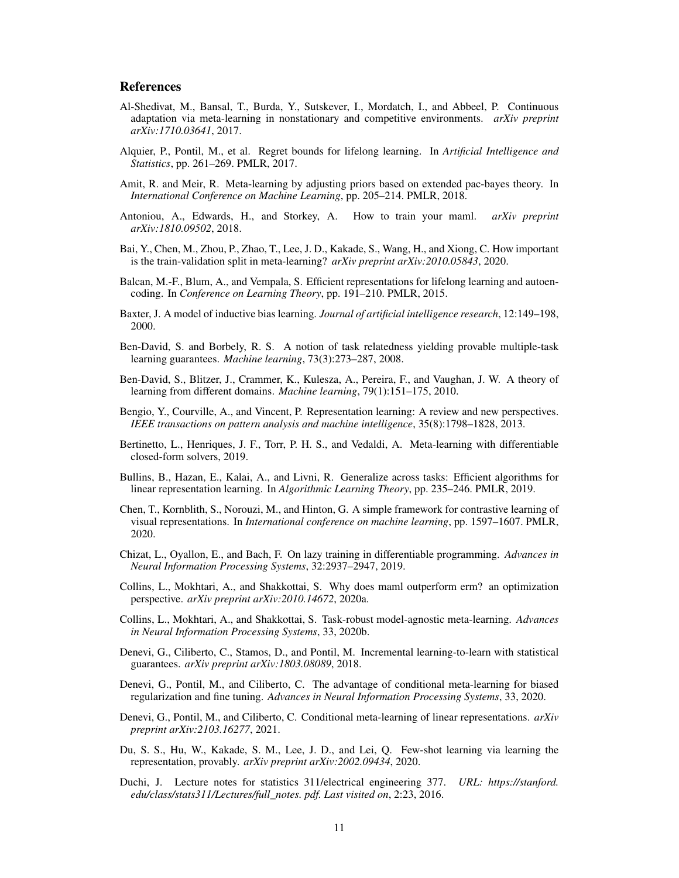## References

- <span id="page-10-2"></span>Al-Shedivat, M., Bansal, T., Burda, Y., Sutskever, I., Mordatch, I., and Abbeel, P. Continuous adaptation via meta-learning in nonstationary and competitive environments. *arXiv preprint arXiv:1710.03641*, 2017.
- <span id="page-10-9"></span>Alquier, P., Pontil, M., et al. Regret bounds for lifelong learning. In *Artificial Intelligence and Statistics*, pp. 261–269. PMLR, 2017.
- <span id="page-10-12"></span>Amit, R. and Meir, R. Meta-learning by adjusting priors based on extended pac-bayes theory. In *International Conference on Machine Learning*, pp. 205–214. PMLR, 2018.
- <span id="page-10-1"></span>Antoniou, A., Edwards, H., and Storkey, A. How to train your maml. *arXiv preprint arXiv:1810.09502*, 2018.
- <span id="page-10-17"></span>Bai, Y., Chen, M., Zhou, P., Zhao, T., Lee, J. D., Kakade, S., Wang, H., and Xiong, C. How important is the train-validation split in meta-learning? *arXiv preprint arXiv:2010.05843*, 2020.
- <span id="page-10-4"></span>Balcan, M.-F., Blum, A., and Vempala, S. Efficient representations for lifelong learning and autoencoding. In *Conference on Learning Theory*, pp. 191–210. PMLR, 2015.
- <span id="page-10-11"></span>Baxter, J. A model of inductive bias learning. *Journal of artificial intelligence research*, 12:149–198, 2000.
- <span id="page-10-13"></span>Ben-David, S. and Borbely, R. S. A notion of task relatedness yielding provable multiple-task learning guarantees. *Machine learning*, 73(3):273–287, 2008.
- <span id="page-10-14"></span>Ben-David, S., Blitzer, J., Crammer, K., Kulesza, A., Pereira, F., and Vaughan, J. W. A theory of learning from different domains. *Machine learning*, 79(1):151–175, 2010.
- <span id="page-10-0"></span>Bengio, Y., Courville, A., and Vincent, P. Representation learning: A review and new perspectives. *IEEE transactions on pattern analysis and machine intelligence*, 35(8):1798–1828, 2013.
- <span id="page-10-20"></span>Bertinetto, L., Henriques, J. F., Torr, P. H. S., and Vedaldi, A. Meta-learning with differentiable closed-form solvers, 2019.
- <span id="page-10-10"></span>Bullins, B., Hazan, E., Kalai, A., and Livni, R. Generalize across tasks: Efficient algorithms for linear representation learning. In *Algorithmic Learning Theory*, pp. 235–246. PMLR, 2019.
- <span id="page-10-5"></span>Chen, T., Kornblith, S., Norouzi, M., and Hinton, G. A simple framework for contrastive learning of visual representations. In *International conference on machine learning*, pp. 1597–1607. PMLR, 2020.
- <span id="page-10-18"></span>Chizat, L., Oyallon, E., and Bach, F. On lazy training in differentiable programming. *Advances in Neural Information Processing Systems*, 32:2937–2947, 2019.
- <span id="page-10-7"></span>Collins, L., Mokhtari, A., and Shakkottai, S. Why does maml outperform erm? an optimization perspective. *arXiv preprint arXiv:2010.14672*, 2020a.
- <span id="page-10-8"></span>Collins, L., Mokhtari, A., and Shakkottai, S. Task-robust model-agnostic meta-learning. *Advances in Neural Information Processing Systems*, 33, 2020b.
- <span id="page-10-6"></span>Denevi, G., Ciliberto, C., Stamos, D., and Pontil, M. Incremental learning-to-learn with statistical guarantees. *arXiv preprint arXiv:1803.08089*, 2018.
- <span id="page-10-15"></span>Denevi, G., Pontil, M., and Ciliberto, C. The advantage of conditional meta-learning for biased regularization and fine tuning. *Advances in Neural Information Processing Systems*, 33, 2020.
- <span id="page-10-16"></span>Denevi, G., Pontil, M., and Ciliberto, C. Conditional meta-learning of linear representations. *arXiv preprint arXiv:2103.16277*, 2021.
- <span id="page-10-3"></span>Du, S. S., Hu, W., Kakade, S. M., Lee, J. D., and Lei, Q. Few-shot learning via learning the representation, provably. *arXiv preprint arXiv:2002.09434*, 2020.
- <span id="page-10-19"></span>Duchi, J. Lecture notes for statistics 311/electrical engineering 377. *URL: https://stanford. edu/class/stats311/Lectures/full\_notes. pdf. Last visited on*, 2:23, 2016.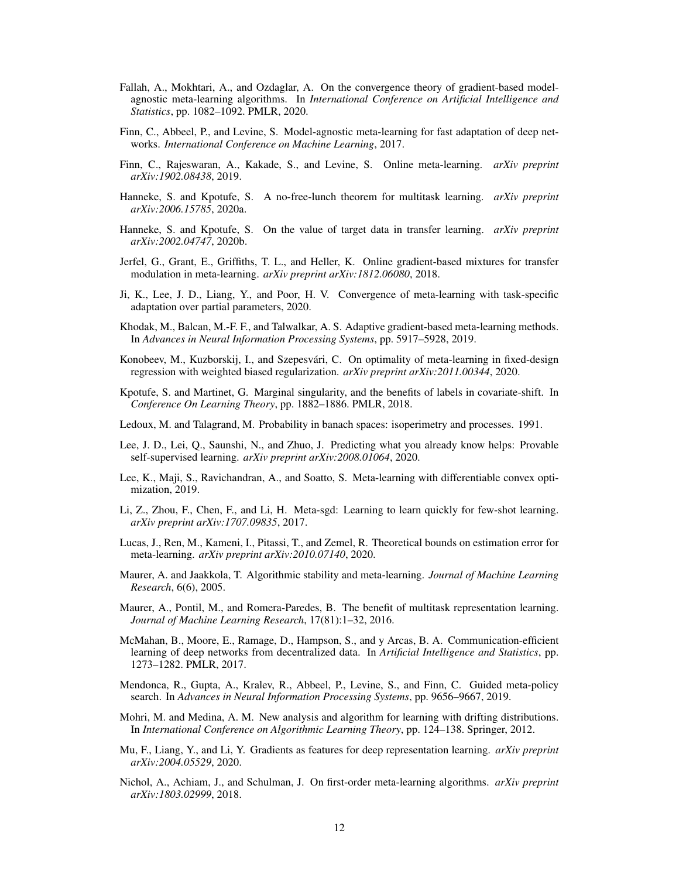- <span id="page-11-8"></span>Fallah, A., Mokhtari, A., and Ozdaglar, A. On the convergence theory of gradient-based modelagnostic meta-learning algorithms. In *International Conference on Artificial Intelligence and Statistics*, pp. 1082–1092. PMLR, 2020.
- <span id="page-11-1"></span>Finn, C., Abbeel, P., and Levine, S. Model-agnostic meta-learning for fast adaptation of deep networks. *International Conference on Machine Learning*, 2017.
- <span id="page-11-10"></span>Finn, C., Rajeswaran, A., Kakade, S., and Levine, S. Online meta-learning. *arXiv preprint arXiv:1902.08438*, 2019.
- <span id="page-11-15"></span>Hanneke, S. and Kpotufe, S. A no-free-lunch theorem for multitask learning. *arXiv preprint arXiv:2006.15785*, 2020a.
- <span id="page-11-16"></span>Hanneke, S. and Kpotufe, S. On the value of target data in transfer learning. *arXiv preprint arXiv:2002.04747*, 2020b.
- <span id="page-11-9"></span>Jerfel, G., Grant, E., Griffiths, T. L., and Heller, K. Online gradient-based mixtures for transfer modulation in meta-learning. *arXiv preprint arXiv:1812.06080*, 2018.
- <span id="page-11-19"></span>Ji, K., Lee, J. D., Liang, Y., and Poor, H. V. Convergence of meta-learning with task-specific adaptation over partial parameters, 2020.
- <span id="page-11-11"></span>Khodak, M., Balcan, M.-F. F., and Talwalkar, A. S. Adaptive gradient-based meta-learning methods. In *Advances in Neural Information Processing Systems*, pp. 5917–5928, 2019.
- <span id="page-11-4"></span>Konobeev, M., Kuzborskij, I., and Szepesvári, C. On optimality of meta-learning in fixed-design regression with weighted biased regularization. *arXiv preprint arXiv:2011.00344*, 2020.
- <span id="page-11-17"></span>Kpotufe, S. and Martinet, G. Marginal singularity, and the benefits of labels in covariate-shift. In *Conference On Learning Theory*, pp. 1882–1886. PMLR, 2018.
- Ledoux, M. and Talagrand, M. Probability in banach spaces: isoperimetry and processes. 1991.
- <span id="page-11-5"></span>Lee, J. D., Lei, Q., Saunshi, N., and Zhuo, J. Predicting what you already know helps: Provable self-supervised learning. *arXiv preprint arXiv:2008.01064*, 2020.
- <span id="page-11-20"></span>Lee, K., Maji, S., Ravichandran, A., and Soatto, S. Meta-learning with differentiable convex optimization, 2019.
- <span id="page-11-7"></span>Li, Z., Zhou, F., Chen, F., and Li, H. Meta-sgd: Learning to learn quickly for few-shot learning. *arXiv preprint arXiv:1707.09835*, 2017.
- <span id="page-11-18"></span>Lucas, J., Ren, M., Kameni, I., Pitassi, T., and Zemel, R. Theoretical bounds on estimation error for meta-learning. *arXiv preprint arXiv:2010.07140*, 2020.
- <span id="page-11-12"></span>Maurer, A. and Jaakkola, T. Algorithmic stability and meta-learning. *Journal of Machine Learning Research*, 6(6), 2005.
- <span id="page-11-13"></span>Maurer, A., Pontil, M., and Romera-Paredes, B. The benefit of multitask representation learning. *Journal of Machine Learning Research*, 17(81):1–32, 2016.
- <span id="page-11-3"></span>McMahan, B., Moore, E., Ramage, D., Hampson, S., and y Arcas, B. A. Communication-efficient learning of deep networks from decentralized data. In *Artificial Intelligence and Statistics*, pp. 1273–1282. PMLR, 2017.
- <span id="page-11-0"></span>Mendonca, R., Gupta, A., Kralev, R., Abbeel, P., Levine, S., and Finn, C. Guided meta-policy search. In *Advances in Neural Information Processing Systems*, pp. 9656–9667, 2019.
- <span id="page-11-14"></span>Mohri, M. and Medina, A. M. New analysis and algorithm for learning with drifting distributions. In *International Conference on Algorithmic Learning Theory*, pp. 124–138. Springer, 2012.
- <span id="page-11-6"></span>Mu, F., Liang, Y., and Li, Y. Gradients as features for deep representation learning. *arXiv preprint arXiv:2004.05529*, 2020.
- <span id="page-11-2"></span>Nichol, A., Achiam, J., and Schulman, J. On first-order meta-learning algorithms. *arXiv preprint arXiv:1803.02999*, 2018.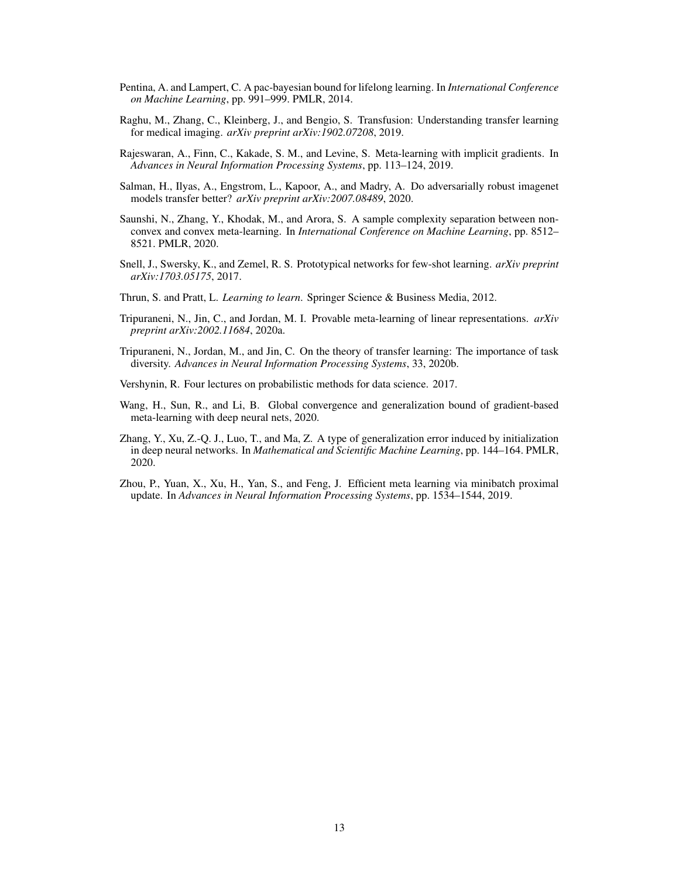- <span id="page-12-9"></span>Pentina, A. and Lampert, C. A pac-bayesian bound for lifelong learning. In *International Conference on Machine Learning*, pp. 991–999. PMLR, 2014.
- <span id="page-12-6"></span>Raghu, M., Zhang, C., Kleinberg, J., and Bengio, S. Transfusion: Understanding transfer learning for medical imaging. *arXiv preprint arXiv:1902.07208*, 2019.
- <span id="page-12-8"></span>Rajeswaran, A., Finn, C., Kakade, S. M., and Levine, S. Meta-learning with implicit gradients. In *Advances in Neural Information Processing Systems*, pp. 113–124, 2019.
- <span id="page-12-5"></span>Salman, H., Ilyas, A., Engstrom, L., Kapoor, A., and Madry, A. Do adversarially robust imagenet models transfer better? *arXiv preprint arXiv:2007.08489*, 2020.
- <span id="page-12-4"></span>Saunshi, N., Zhang, Y., Khodak, M., and Arora, S. A sample complexity separation between nonconvex and convex meta-learning. In *International Conference on Machine Learning*, pp. 8512– 8521. PMLR, 2020.
- <span id="page-12-1"></span>Snell, J., Swersky, K., and Zemel, R. S. Prototypical networks for few-shot learning. *arXiv preprint arXiv:1703.05175*, 2017.
- <span id="page-12-0"></span>Thrun, S. and Pratt, L. *Learning to learn*. Springer Science & Business Media, 2012.
- <span id="page-12-3"></span>Tripuraneni, N., Jin, C., and Jordan, M. I. Provable meta-learning of linear representations. *arXiv preprint arXiv:2002.11684*, 2020a.
- <span id="page-12-2"></span>Tripuraneni, N., Jordan, M., and Jin, C. On the theory of transfer learning: The importance of task diversity. *Advances in Neural Information Processing Systems*, 33, 2020b.
- Vershynin, R. Four lectures on probabilistic methods for data science. 2017.
- <span id="page-12-10"></span>Wang, H., Sun, R., and Li, B. Global convergence and generalization bound of gradient-based meta-learning with deep neural nets, 2020.
- <span id="page-12-11"></span>Zhang, Y., Xu, Z.-Q. J., Luo, T., and Ma, Z. A type of generalization error induced by initialization in deep neural networks. In *Mathematical and Scientific Machine Learning*, pp. 144–164. PMLR, 2020.
- <span id="page-12-7"></span>Zhou, P., Yuan, X., Xu, H., Yan, S., and Feng, J. Efficient meta learning via minibatch proximal update. In *Advances in Neural Information Processing Systems*, pp. 1534–1544, 2019.